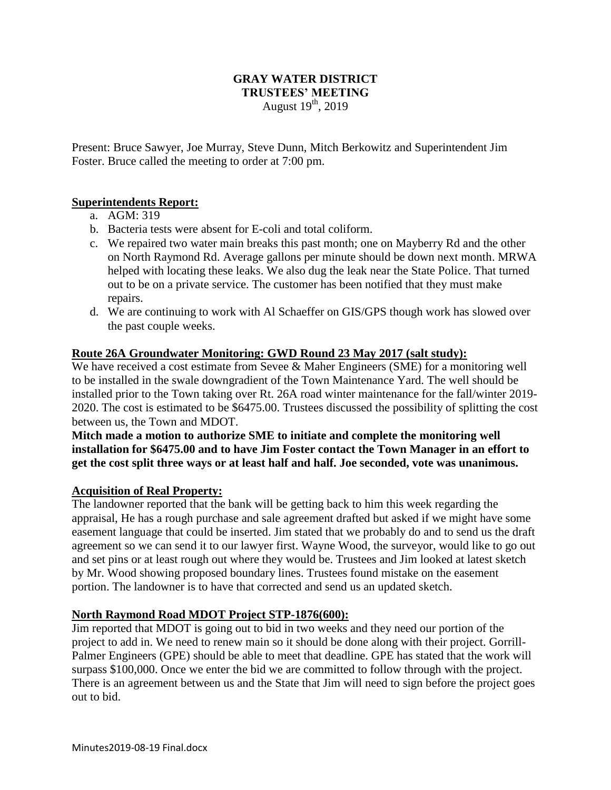#### **GRAY WATER DISTRICT TRUSTEES' MEETING** August  $19<sup>th</sup>$ , 2019

Present: Bruce Sawyer, Joe Murray, Steve Dunn, Mitch Berkowitz and Superintendent Jim Foster. Bruce called the meeting to order at 7:00 pm.

# **Superintendents Report:**

- a. AGM: 319
- b. Bacteria tests were absent for E-coli and total coliform.
- c. We repaired two water main breaks this past month; one on Mayberry Rd and the other on North Raymond Rd. Average gallons per minute should be down next month. MRWA helped with locating these leaks. We also dug the leak near the State Police. That turned out to be on a private service. The customer has been notified that they must make repairs.
- d. We are continuing to work with Al Schaeffer on GIS/GPS though work has slowed over the past couple weeks.

#### **Route 26A Groundwater Monitoring: GWD Round 23 May 2017 (salt study):**

We have received a cost estimate from Sevee & Maher Engineers (SME) for a monitoring well to be installed in the swale downgradient of the Town Maintenance Yard. The well should be installed prior to the Town taking over Rt. 26A road winter maintenance for the fall/winter 2019- 2020. The cost is estimated to be \$6475.00. Trustees discussed the possibility of splitting the cost between us, the Town and MDOT.

**Mitch made a motion to authorize SME to initiate and complete the monitoring well installation for \$6475.00 and to have Jim Foster contact the Town Manager in an effort to get the cost split three ways or at least half and half. Joe seconded, vote was unanimous.**

# **Acquisition of Real Property:**

The landowner reported that the bank will be getting back to him this week regarding the appraisal, He has a rough purchase and sale agreement drafted but asked if we might have some easement language that could be inserted. Jim stated that we probably do and to send us the draft agreement so we can send it to our lawyer first. Wayne Wood, the surveyor, would like to go out and set pins or at least rough out where they would be. Trustees and Jim looked at latest sketch by Mr. Wood showing proposed boundary lines. Trustees found mistake on the easement portion. The landowner is to have that corrected and send us an updated sketch.

#### **North Raymond Road MDOT Project STP-1876(600):**

Jim reported that MDOT is going out to bid in two weeks and they need our portion of the project to add in. We need to renew main so it should be done along with their project. Gorrill-Palmer Engineers (GPE) should be able to meet that deadline. GPE has stated that the work will surpass \$100,000. Once we enter the bid we are committed to follow through with the project. There is an agreement between us and the State that Jim will need to sign before the project goes out to bid.